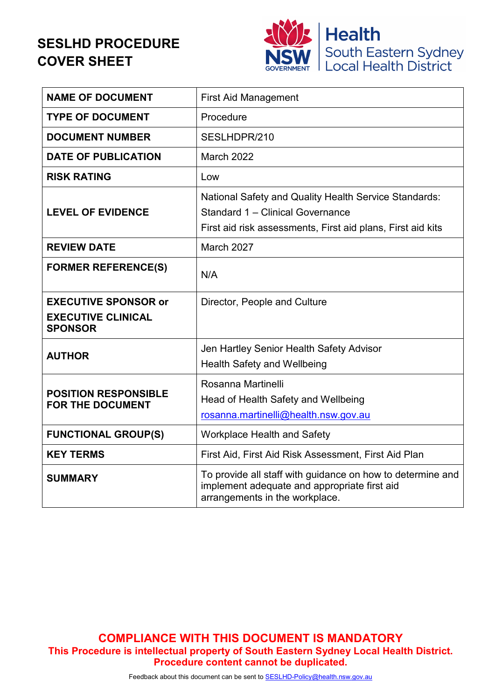# **SESLHD PROCEDURE COVER SHEET**



| <b>NAME OF DOCUMENT</b>                                                    | <b>First Aid Management</b>                                                                                                                                     |
|----------------------------------------------------------------------------|-----------------------------------------------------------------------------------------------------------------------------------------------------------------|
| <b>TYPE OF DOCUMENT</b>                                                    | Procedure                                                                                                                                                       |
| <b>DOCUMENT NUMBER</b>                                                     | SESLHDPR/210                                                                                                                                                    |
| <b>DATE OF PUBLICATION</b>                                                 | March 2022                                                                                                                                                      |
| <b>RISK RATING</b>                                                         | Low                                                                                                                                                             |
| <b>LEVEL OF EVIDENCE</b>                                                   | <b>National Safety and Quality Health Service Standards:</b><br>Standard 1 - Clinical Governance<br>First aid risk assessments, First aid plans, First aid kits |
| <b>REVIEW DATE</b>                                                         | March 2027                                                                                                                                                      |
| <b>FORMER REFERENCE(S)</b>                                                 | N/A                                                                                                                                                             |
| <b>EXECUTIVE SPONSOR or</b><br><b>EXECUTIVE CLINICAL</b><br><b>SPONSOR</b> | Director, People and Culture                                                                                                                                    |
| <b>AUTHOR</b>                                                              | Jen Hartley Senior Health Safety Advisor<br><b>Health Safety and Wellbeing</b>                                                                                  |
| <b>POSITION RESPONSIBLE</b><br><b>FOR THE DOCUMENT</b>                     | Rosanna Martinelli<br>Head of Health Safety and Wellbeing<br>rosanna.martinelli@health.nsw.gov.au                                                               |
| <b>FUNCTIONAL GROUP(S)</b>                                                 | <b>Workplace Health and Safety</b>                                                                                                                              |
| <b>KEY TERMS</b>                                                           | First Aid, First Aid Risk Assessment, First Aid Plan                                                                                                            |
| <b>SUMMARY</b>                                                             | To provide all staff with guidance on how to determine and<br>implement adequate and appropriate first aid<br>arrangements in the workplace.                    |

**COMPLIANCE WITH THIS DOCUMENT IS MANDATORY This Procedure is intellectual property of South Eastern Sydney Local Health District. Procedure content cannot be duplicated.**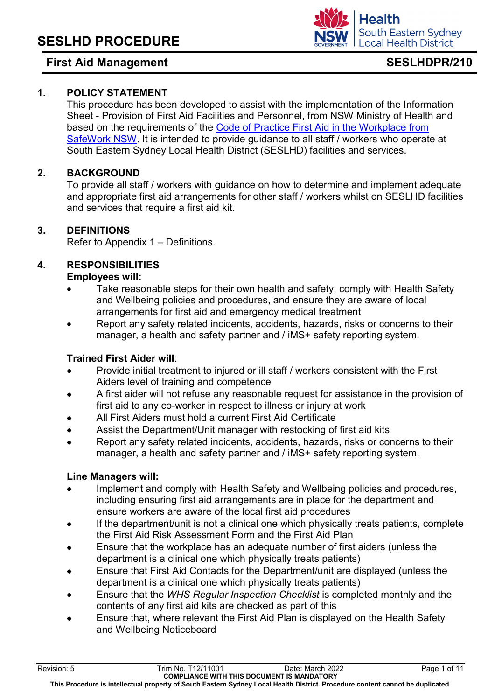## **1. POLICY STATEMENT**

This procedure has been developed to assist with the implementation of the Information Sheet - [Provision of First Aid Facilities and Personnel,](http://internal.health.nsw.gov.au/jobs/safety/pdfs/InfoShetFirstAidFacilities.pdf) from NSW Ministry of Health and based on the requirements of the [Code of Practice First Aid in the Workplace from](http://internal.health.nsw.gov.au/jobs/safety/pdfs/InfoShetFirstAidFacilities.pdf)  [SafeWork NSW.](http://internal.health.nsw.gov.au/jobs/safety/pdfs/InfoShetFirstAidFacilities.pdf) It is intended to provide guidance to all staff / workers who operate at South Eastern Sydney Local Health District (SESLHD) facilities and services.

### **2. BACKGROUND**

To provide all staff / workers with guidance on how to determine and implement adequate and appropriate first aid arrangements for other staff / workers whilst on SESLHD facilities and services that require a first aid kit.

### **3. DEFINITIONS**

Refer to Appendix 1 – Definitions.

# **4. RESPONSIBILITIES**

### **Employees will:**

- Take reasonable steps for their own health and safety, comply with Health Safety and Wellbeing policies and procedures, and ensure they are aware of local arrangements for first aid and emergency medical treatment
- Report any safety related incidents, accidents, hazards, risks or concerns to their manager, a health and safety partner and / iMS+ safety reporting system.

### **Trained First Aider will**:

- Provide initial treatment to injured or ill staff / workers consistent with the First Aiders level of training and competence
- A first aider will not refuse any reasonable request for assistance in the provision of first aid to any co-worker in respect to illness or injury at work
- All First Aiders must hold a current First Aid Certificate
- Assist the Department/Unit manager with restocking of first aid kits
- Report any safety related incidents, accidents, hazards, risks or concerns to their manager, a health and safety partner and / iMS+ safety reporting system.

### **Line Managers will:**

- Implement and comply with Health Safety and Wellbeing policies and procedures, including ensuring first aid arrangements are in place for the department and ensure workers are aware of the local first aid procedures
- If the department/unit is not a clinical one which physically treats patients, complete the [First Aid Risk Assessment Form](http://seslhdweb.seslhd.health.nsw.gov.au/Forms_and_Templates/Forms/default.asp#Workers_Compensation) and the First Aid Plan
- Ensure that the workplace has an adequate number of first aiders (unless the department is a clinical one which physically treats patients)
- Ensure that First Aid Contacts for the Department/unit are displayed (unless the department is a clinical one which physically treats patients)
- Ensure that the *WHS Regular [Inspection Checklist](http://seslhdweb.seslhd.health.nsw.gov.au/Forms_and_Templates/Forms/default.asp#Workers_Compensation)* is completed monthly and the contents of any first aid kits are checked as part of this
- Ensure that, where relevant the First Aid Plan is displayed on the Health Safety and Wellbeing Noticeboard

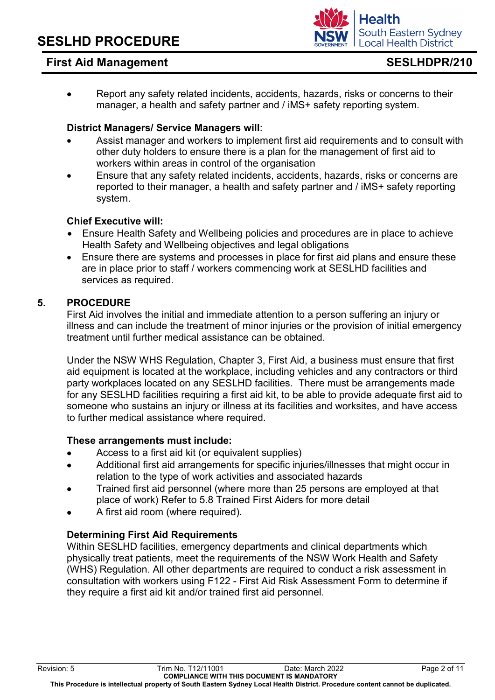

• Report any safety related incidents, accidents, hazards, risks or concerns to their manager, a health and safety partner and / iMS+ safety reporting system.

### **District Managers/ Service Managers will**:

- Assist manager and workers to implement first aid requirements and to consult with other duty holders to ensure there is a plan for the management of first aid to workers within areas in control of the organisation
- Ensure that any safety related incidents, accidents, hazards, risks or concerns are reported to their manager, a health and safety partner and / iMS+ safety reporting system.

### **Chief Executive will:**

- Ensure Health Safety and Wellbeing policies and procedures are in place to achieve Health Safety and Wellbeing objectives and legal obligations
- Ensure there are systems and processes in place for first aid plans and ensure these are in place prior to staff / workers commencing work at SESLHD facilities and services as required.

### **5. PROCEDURE**

First Aid involves the initial and immediate attention to a person suffering an injury or illness and can include the treatment of minor injuries or the provision of initial emergency treatment until further medical assistance can be obtained.

Under the NSW WHS Regulation, Chapter 3, First Aid, a business must ensure that first aid equipment is located at the workplace, including vehicles and any contractors or third party workplaces located on any SESLHD facilities. There must be arrangements made for any SESLHD facilities requiring a first aid kit, to be able to provide adequate first aid to someone who sustains an injury or illness at its facilities and worksites, and have access to further medical assistance where required.

### **These arrangements must include:**

- Access to a first aid kit (or equivalent supplies)
- Additional first aid arrangements for specific injuries/illnesses that might occur in relation to the type of work activities and associated hazards
- Trained first aid personnel (where more than 25 persons are employed at that place of work) Refer to 5.8 Trained First Aiders for more detail
- A first aid room (where required).

### **Determining First Aid Requirements**

Within SESLHD facilities, emergency departments and clinical departments which physically treat patients, meet the requirements of the NSW Work Health and Safety (WHS) Regulation. All other departments are required to conduct a risk assessment in consultation with workers using F122 - First Aid Risk Assessment Form to determine if they require a first aid kit and/or trained first aid personnel.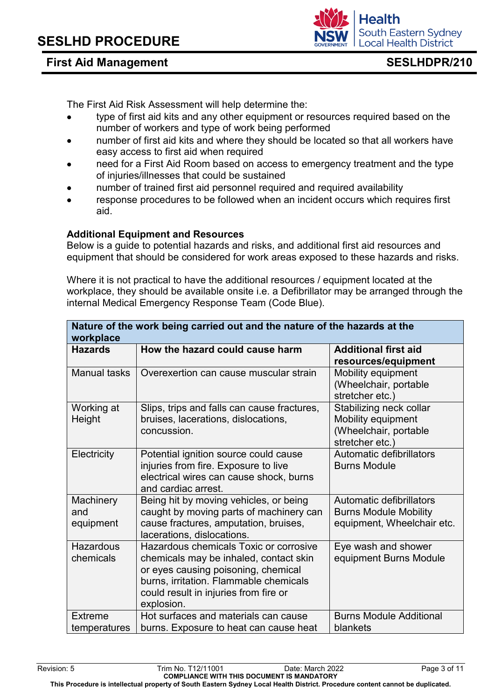

The First Aid Risk Assessment will help determine the:

- type of first aid kits and any other equipment or resources required based on the number of workers and type of work being performed
- number of first aid kits and where they should be located so that all workers have easy access to first aid when required
- need for a First Aid Room based on access to emergency treatment and the type of injuries/illnesses that could be sustained
- number of trained first aid personnel required and required availability
- response procedures to be followed when an incident occurs which requires first aid.

### **Additional Equipment and Resources**

Below is a guide to potential hazards and risks, and additional first aid resources and equipment that should be considered for work areas exposed to these hazards and risks.

Where it is not practical to have the additional resources / equipment located at the workplace, they should be available onsite i.e. a Defibrillator may be arranged through the internal Medical Emergency Response Team (Code Blue).

| Nature of the work being carried out and the nature of the hazards at the<br>workplace |                                                                                                                                                                                                                          |                                                                                                  |  |  |  |  |
|----------------------------------------------------------------------------------------|--------------------------------------------------------------------------------------------------------------------------------------------------------------------------------------------------------------------------|--------------------------------------------------------------------------------------------------|--|--|--|--|
| <b>Hazards</b>                                                                         | How the hazard could cause harm                                                                                                                                                                                          | <b>Additional first aid</b><br>resources/equipment                                               |  |  |  |  |
| <b>Manual tasks</b>                                                                    | Overexertion can cause muscular strain                                                                                                                                                                                   | <b>Mobility equipment</b><br>(Wheelchair, portable<br>stretcher etc.)                            |  |  |  |  |
| Working at<br>Height                                                                   | Slips, trips and falls can cause fractures,<br>bruises, lacerations, dislocations,<br>concussion.                                                                                                                        | Stabilizing neck collar<br><b>Mobility equipment</b><br>(Wheelchair, portable<br>stretcher etc.) |  |  |  |  |
| Electricity                                                                            | Potential ignition source could cause<br>injuries from fire. Exposure to live<br>electrical wires can cause shock, burns<br>and cardiac arrest.                                                                          | Automatic defibrillators<br><b>Burns Module</b>                                                  |  |  |  |  |
| Machinery<br>and<br>equipment                                                          | Being hit by moving vehicles, or being<br>caught by moving parts of machinery can<br>cause fractures, amputation, bruises,<br>lacerations, dislocations.                                                                 | Automatic defibrillators<br><b>Burns Module Mobility</b><br>equipment, Wheelchair etc.           |  |  |  |  |
| <b>Hazardous</b><br>chemicals                                                          | Hazardous chemicals Toxic or corrosive<br>chemicals may be inhaled, contact skin<br>or eyes causing poisoning, chemical<br>burns, irritation. Flammable chemicals<br>could result in injuries from fire or<br>explosion. | Eye wash and shower<br>equipment Burns Module                                                    |  |  |  |  |
| Extreme<br>temperatures                                                                | Hot surfaces and materials can cause<br>burns. Exposure to heat can cause heat                                                                                                                                           | <b>Burns Module Additional</b><br>blankets                                                       |  |  |  |  |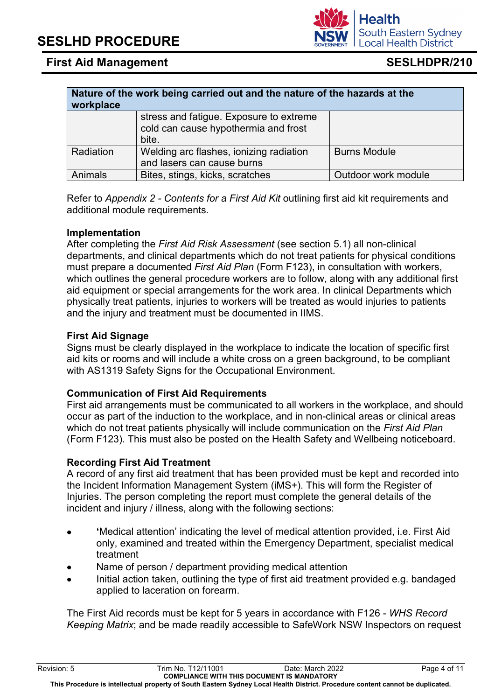**workplace**

Refer to *Appendix 2 - Contents for a First Aid Kit* outlining first aid kit requirements and additional module requirements.

Animals Bites, stings, kicks, scratches | Outdoor work module

**Nature of the work being carried out and the nature of the hazards at the** 

### **Implementation**

After completing the *First Aid Risk Assessment* (see section 5.1) all non-clinical departments, and clinical departments which do not treat patients for physical conditions must prepare a documented *First Aid Plan* (Form F123), in consultation with workers, which outlines the general procedure workers are to follow, along with any additional first aid equipment or special arrangements for the work area. In clinical Departments which physically treat patients, injuries to workers will be treated as would injuries to patients and the injury and treatment must be documented in IIMS.

### **First Aid Signage**

Signs must be clearly displayed in the workplace to indicate the location of specific first aid kits or rooms and will include a white cross on a green background, to be compliant with AS1319 Safety Signs for the Occupational Environment.

### **Communication of First Aid Requirements**

First aid arrangements must be communicated to all workers in the workplace, and should occur as part of the induction to the workplace, and in non-clinical areas or clinical areas which do not treat patients physically will include communication on the *First Aid Plan*  (Form F123). This must also be posted on the Health Safety and Wellbeing noticeboard.

### **Recording First Aid Treatment**

A record of any first aid treatment that has been provided must be kept and recorded into the Incident Information Management System (iMS+). This will form the Register of Injuries. The person completing the report must complete the general details of the incident and injury / illness, along with the following sections:

- **'**Medical attention' indicating the level of medical attention provided, i.e. First Aid only, examined and treated within the Emergency Department, specialist medical treatment
- Name of person / department providing medical attention
- Initial action taken, outlining the type of first aid treatment provided e.g. bandaged applied to laceration on forearm.

The First Aid records must be kept for 5 years in accordance with F126 - *WHS Record Keeping Matrix*; and be made readily accessible to SafeWork NSW Inspectors on request

### stress and fatigue. Exposure to extreme cold can cause hypothermia and frost bite. Radiation Welding arc flashes, ionizing radiation and lasers can cause burns

Burns Module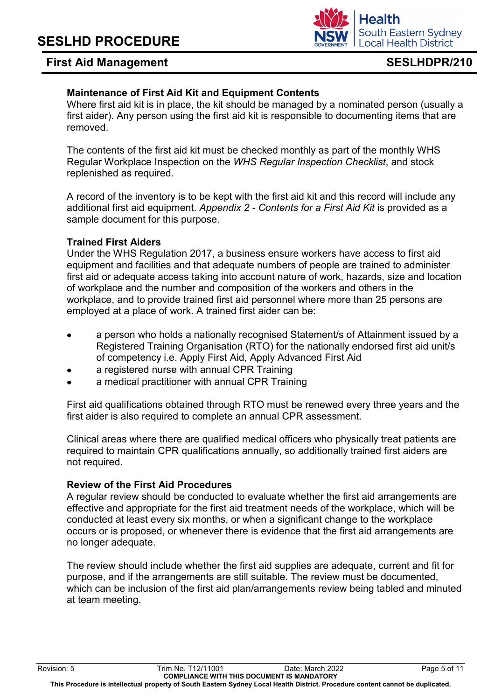### **Health South Eastern Sydney Local Health District**

### **Maintenance of First Aid Kit and Equipment Contents**

Where first aid kit is in place, the kit should be managed by a nominated person (usually a first aider). Any person using the first aid kit is responsible to documenting items that are removed.

The contents of the first aid kit must be checked monthly as part of the monthly WHS Regular Workplace Inspection on the *WHS Regular Inspection Checklist*, and stock replenished as required.

A record of the inventory is to be kept with the first aid kit and this record will include any additional first aid equipment. *Appendix 2 - Contents for a First Aid Kit* is provided as a sample document for this purpose.

### **Trained First Aiders**

Under the WHS Regulation 2017, a business ensure workers have access to first aid equipment and facilities and that adequate numbers of people are trained to administer first aid or adequate access taking into account nature of work, hazards, size and location of workplace and the number and composition of the workers and others in the workplace, and to provide trained first aid personnel where more than 25 persons are employed at a place of work. A trained first aider can be:

- a person who holds a nationally recognised Statement/s of Attainment issued by a Registered Training Organisation (RTO) for the nationally endorsed first aid unit/s of competency i.e. Apply First Aid, Apply Advanced First Aid
- a registered nurse with annual CPR Training
- a medical practitioner with annual CPR Training

First aid qualifications obtained through RTO must be renewed every three years and the first aider is also required to complete an annual CPR assessment.

Clinical areas where there are qualified medical officers who physically treat patients are required to maintain CPR qualifications annually, so additionally trained first aiders are not required.

### **Review of the First Aid Procedures**

A regular review should be conducted to evaluate whether the first aid arrangements are effective and appropriate for the first aid treatment needs of the workplace, which will be conducted at least every six months, or when a significant change to the workplace occurs or is proposed, or whenever there is evidence that the first aid arrangements are no longer adequate.

The review should include whether the first aid supplies are adequate, current and fit for purpose, and if the arrangements are still suitable. The review must be documented, which can be inclusion of the first aid plan/arrangements review being tabled and minuted at team meeting.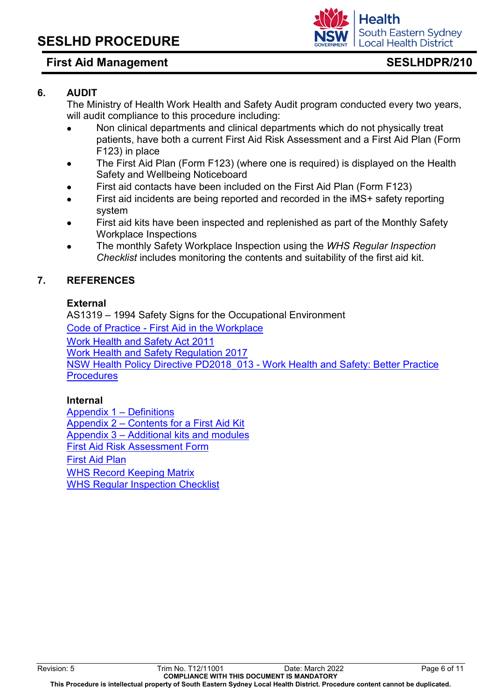

### **6. AUDIT**

The Ministry of Health Work Health and Safety Audit program conducted every two years, will audit compliance to this procedure including:

- Non clinical departments and clinical departments which do not physically treat patients, have both a current First Aid Risk Assessment and a First Aid Plan (Form F123) in place
- The First Aid Plan (Form F123) (where one is required) is displayed on the Health Safety and Wellbeing Noticeboard
- First aid contacts have been included on the First Aid Plan (Form F123)
- First aid incidents are being reported and recorded in the iMS+ safety reporting system
- First aid kits have been inspected and replenished as part of the Monthly Safety Workplace Inspections
- The monthly Safety Workplace Inspection using the *WHS Regular Inspection Checklist* includes monitoring the contents and suitability of the first aid kit.

### **7. REFERENCES**

### **External**

AS1319 – 1994 Safety Signs for the Occupational Environment Code of Practice - [First Aid in the Workplace](https://www.safework.nsw.gov.au/__data/assets/pdf_file/0015/52152/First-aid-in-the-workplace-COP.pdf) [Work Health and Safety Act 2011](https://legislation.nsw.gov.au/view/html/inforce/current/act-2011-010)  [Work Health and Safety Regulation 2017](https://legislation.nsw.gov.au/view/html/inforce/current/sl-2017-0404) [NSW Health Policy Directive PD2018\\_013 -](https://www1.health.nsw.gov.au/pds/Pages/doc.aspx?dn=PD2018_013) Work Health and Safety: Better Practice **[Procedures](https://www1.health.nsw.gov.au/pds/Pages/doc.aspx?dn=PD2018_013)** 

### **Internal**

[Appendix 1](#page-7-0) – Definitions Appendix 2 – [Contents for a First Aid Kit](#page-10-0) Appendix 3 – [Additional kits and modules](#page-11-0) [First Aid Risk Assessment Form](http://seslhdweb.seslhd.health.nsw.gov.au/Forms_and_Templates/Forms/default.asp#Workers_Compensation)  [First Aid Plan](http://seslhdweb.seslhd.health.nsw.gov.au/Forms_and_Templates/Forms/default.asp#Workers_Compensation) WHS Record [Keeping Matrix](http://seslhdweb.seslhd.health.nsw.gov.au/Forms_and_Templates/Forms/default.asp#Workers_Compensation) [WHS Regular Inspection Checklist](http://seslhdweb.seslhd.health.nsw.gov.au/Forms_and_Templates/Forms/default.asp#Workers_Compensation)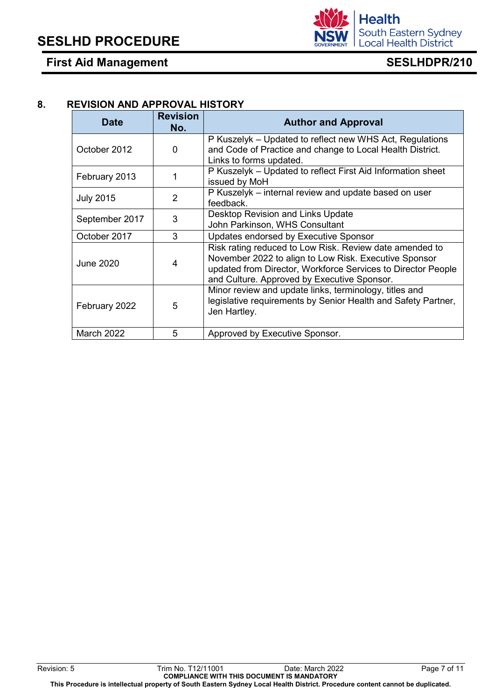

### **8. REVISION AND APPROVAL HISTORY**

<span id="page-7-0"></span>

| <b>Date</b>       | <b>Revision</b><br>No. | <b>Author and Approval</b>                                                                                                                                                                                                      |
|-------------------|------------------------|---------------------------------------------------------------------------------------------------------------------------------------------------------------------------------------------------------------------------------|
| October 2012      | 0                      | P Kuszelyk – Updated to reflect new WHS Act, Regulations<br>and Code of Practice and change to Local Health District.<br>Links to forms updated.                                                                                |
| February 2013     |                        | P Kuszelyk - Updated to reflect First Aid Information sheet<br>issued by MoH                                                                                                                                                    |
| <b>July 2015</b>  | 2                      | P Kuszelyk - internal review and update based on user<br>feedback.                                                                                                                                                              |
| September 2017    | 3                      | Desktop Revision and Links Update<br>John Parkinson, WHS Consultant                                                                                                                                                             |
| October 2017      | 3                      | Updates endorsed by Executive Sponsor                                                                                                                                                                                           |
| <b>June 2020</b>  | 4                      | Risk rating reduced to Low Risk. Review date amended to<br>November 2022 to align to Low Risk. Executive Sponsor<br>updated from Director, Workforce Services to Director People<br>and Culture. Approved by Executive Sponsor. |
| February 2022     | 5                      | Minor review and update links, terminology, titles and<br>legislative requirements by Senior Health and Safety Partner,<br>Jen Hartley.                                                                                         |
| <b>March 2022</b> | 5                      | Approved by Executive Sponsor.                                                                                                                                                                                                  |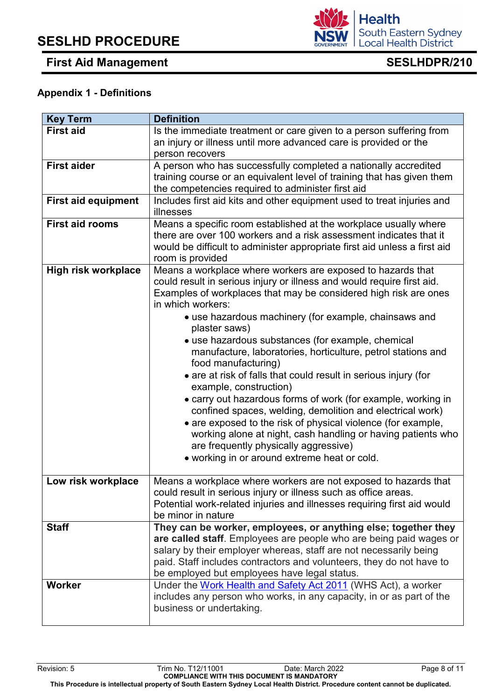South Eastern Sydney **Local Health District** 

**Health** 

# **Appendix 1 - Definitions**

| <b>Key Term</b>            | <b>Definition</b>                                                                                                                          |
|----------------------------|--------------------------------------------------------------------------------------------------------------------------------------------|
| <b>First aid</b>           | Is the immediate treatment or care given to a person suffering from                                                                        |
|                            | an injury or illness until more advanced care is provided or the                                                                           |
|                            | person recovers                                                                                                                            |
| <b>First aider</b>         | A person who has successfully completed a nationally accredited                                                                            |
|                            | training course or an equivalent level of training that has given them                                                                     |
|                            | the competencies required to administer first aid                                                                                          |
| <b>First aid equipment</b> | Includes first aid kits and other equipment used to treat injuries and<br>illnesses                                                        |
| <b>First aid rooms</b>     | Means a specific room established at the workplace usually where                                                                           |
|                            | there are over 100 workers and a risk assessment indicates that it                                                                         |
|                            | would be difficult to administer appropriate first aid unless a first aid                                                                  |
|                            | room is provided                                                                                                                           |
| <b>High risk workplace</b> | Means a workplace where workers are exposed to hazards that                                                                                |
|                            | could result in serious injury or illness and would require first aid.<br>Examples of workplaces that may be considered high risk are ones |
|                            | in which workers:                                                                                                                          |
|                            | • use hazardous machinery (for example, chainsaws and                                                                                      |
|                            | plaster saws)                                                                                                                              |
|                            | • use hazardous substances (for example, chemical                                                                                          |
|                            | manufacture, laboratories, horticulture, petrol stations and                                                                               |
|                            | food manufacturing)                                                                                                                        |
|                            | • are at risk of falls that could result in serious injury (for                                                                            |
|                            | example, construction)                                                                                                                     |
|                            | • carry out hazardous forms of work (for example, working in                                                                               |
|                            | confined spaces, welding, demolition and electrical work)                                                                                  |
|                            | • are exposed to the risk of physical violence (for example,                                                                               |
|                            | working alone at night, cash handling or having patients who                                                                               |
|                            | are frequently physically aggressive)                                                                                                      |
|                            | • working in or around extreme heat or cold.                                                                                               |
|                            |                                                                                                                                            |
| Low risk workplace         | Means a workplace where workers are not exposed to hazards that                                                                            |
|                            | could result in serious injury or illness such as office areas.                                                                            |
|                            | Potential work-related injuries and illnesses requiring first aid would<br>be minor in nature                                              |
| <b>Staff</b>               | They can be worker, employees, or anything else; together they                                                                             |
|                            | are called staff. Employees are people who are being paid wages or                                                                         |
|                            | salary by their employer whereas, staff are not necessarily being                                                                          |
|                            | paid. Staff includes contractors and volunteers, they do not have to                                                                       |
|                            | be employed but employees have legal status.                                                                                               |
| <b>Worker</b>              | Under the Work Health and Safety Act 2011 (WHS Act), a worker                                                                              |
|                            | includes any person who works, in any capacity, in or as part of the                                                                       |
|                            | business or undertaking.                                                                                                                   |
|                            |                                                                                                                                            |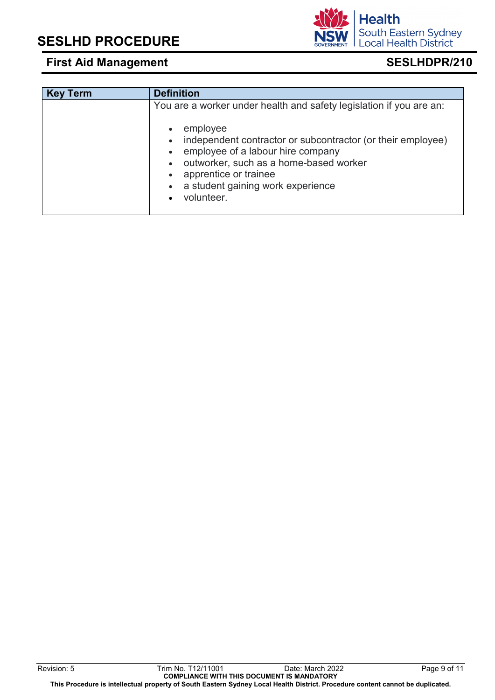|  | employee<br>$\bullet$<br>• independent contractor or subcontractor (or their employee)<br>• employee of a labour hire company<br>• outworker, such as a home-based worker<br>apprentice or trainee<br>$\bullet$<br>• a student gaining work experience<br>volunteer. |
|--|----------------------------------------------------------------------------------------------------------------------------------------------------------------------------------------------------------------------------------------------------------------------|
|--|----------------------------------------------------------------------------------------------------------------------------------------------------------------------------------------------------------------------------------------------------------------------|

# **First Aid Management SESLHDPR/210 Key Term Definition** You are a worker under health and safety legislation if you are an:

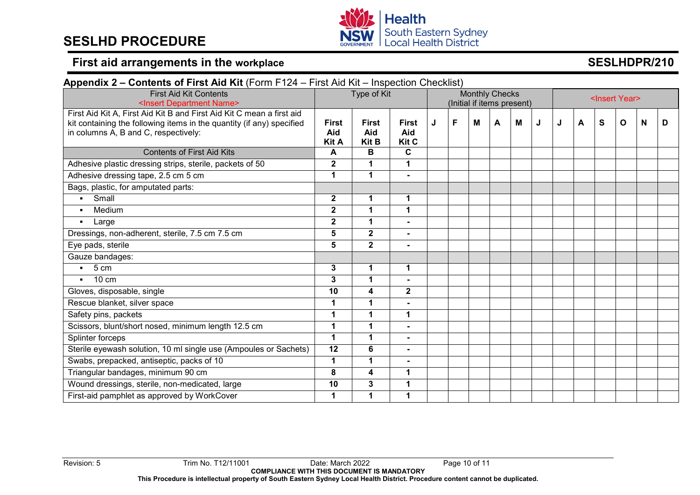# **SESLHD PROCEDURE**



# **First aid arrangements in the workplace <b>SESLHDPR/210 SESLHDPR/210**

<span id="page-10-0"></span>

| Appendix 2 – Contents of First Aid Kit (Form F124 – First Aid Kit – Inspection Checklist)                                                                                              |                              |                                     |                                     |                            |   |   |   |   |                           |   |   |   |              |   |   |
|----------------------------------------------------------------------------------------------------------------------------------------------------------------------------------------|------------------------------|-------------------------------------|-------------------------------------|----------------------------|---|---|---|---|---------------------------|---|---|---|--------------|---|---|
| <b>First Aid Kit Contents</b>                                                                                                                                                          | Type of Kit                  |                                     | <b>Monthly Checks</b>               |                            |   |   |   |   | <insert year=""></insert> |   |   |   |              |   |   |
| <insert department="" name=""></insert>                                                                                                                                                |                              |                                     |                                     | (Initial if items present) |   |   |   |   |                           |   |   |   |              |   |   |
| First Aid Kit A, First Aid Kit B and First Aid Kit C mean a first aid<br>kit containing the following items in the quantity (if any) specified<br>in columns A, B and C, respectively: | First<br>Aid<br><b>Kit A</b> | <b>First</b><br>Aid<br><b>Kit B</b> | <b>First</b><br>Aid<br><b>Kit C</b> | J                          | F | M | A | M | J                         | J | A | S | $\mathbf{o}$ | N | D |
| <b>Contents of First Aid Kits</b>                                                                                                                                                      | A                            | B                                   | C                                   |                            |   |   |   |   |                           |   |   |   |              |   |   |
| Adhesive plastic dressing strips, sterile, packets of 50                                                                                                                               | $\overline{2}$               | 1                                   | $\mathbf 1$                         |                            |   |   |   |   |                           |   |   |   |              |   |   |
| Adhesive dressing tape, 2.5 cm 5 cm                                                                                                                                                    | $\mathbf 1$                  | 1                                   | $\blacksquare$                      |                            |   |   |   |   |                           |   |   |   |              |   |   |
| Bags, plastic, for amputated parts:                                                                                                                                                    |                              |                                     |                                     |                            |   |   |   |   |                           |   |   |   |              |   |   |
| • Small                                                                                                                                                                                | $\overline{2}$               | 1                                   | 1                                   |                            |   |   |   |   |                           |   |   |   |              |   |   |
| Medium<br>$\blacksquare$                                                                                                                                                               | $\mathbf{2}$                 | 1                                   | 1                                   |                            |   |   |   |   |                           |   |   |   |              |   |   |
| - Large                                                                                                                                                                                | $\mathbf{2}$                 | 1                                   |                                     |                            |   |   |   |   |                           |   |   |   |              |   |   |
| Dressings, non-adherent, sterile, 7.5 cm 7.5 cm                                                                                                                                        | 5                            | $\mathbf 2$                         | ۰.                                  |                            |   |   |   |   |                           |   |   |   |              |   |   |
| Eye pads, sterile                                                                                                                                                                      | 5                            | $\mathbf{2}$                        | $\blacksquare$                      |                            |   |   |   |   |                           |   |   |   |              |   |   |
| Gauze bandages:                                                                                                                                                                        |                              |                                     |                                     |                            |   |   |   |   |                           |   |   |   |              |   |   |
| $-5cm$                                                                                                                                                                                 | 3                            | 1                                   | 1                                   |                            |   |   |   |   |                           |   |   |   |              |   |   |
| $10 \text{ cm}$<br>$\blacksquare$                                                                                                                                                      | 3                            | 1                                   |                                     |                            |   |   |   |   |                           |   |   |   |              |   |   |
| Gloves, disposable, single                                                                                                                                                             | 10                           | 4                                   | $\mathbf 2$                         |                            |   |   |   |   |                           |   |   |   |              |   |   |
| Rescue blanket, silver space                                                                                                                                                           | 1                            | 1                                   | $\blacksquare$                      |                            |   |   |   |   |                           |   |   |   |              |   |   |
| Safety pins, packets                                                                                                                                                                   | 1                            | 1                                   | 1                                   |                            |   |   |   |   |                           |   |   |   |              |   |   |
| Scissors, blunt/short nosed, minimum length 12.5 cm                                                                                                                                    | 1                            | 1                                   |                                     |                            |   |   |   |   |                           |   |   |   |              |   |   |
| Splinter forceps                                                                                                                                                                       | $\mathbf 1$                  | 1                                   | $\blacksquare$                      |                            |   |   |   |   |                           |   |   |   |              |   |   |
| Sterile eyewash solution, 10 ml single use (Ampoules or Sachets)                                                                                                                       | 12                           | 6                                   | $\overline{\phantom{0}}$            |                            |   |   |   |   |                           |   |   |   |              |   |   |
| Swabs, prepacked, antiseptic, packs of 10                                                                                                                                              | 1                            | $\mathbf 1$                         |                                     |                            |   |   |   |   |                           |   |   |   |              |   |   |
| Triangular bandages, minimum 90 cm                                                                                                                                                     | 8                            | 4                                   | 1                                   |                            |   |   |   |   |                           |   |   |   |              |   |   |
| Wound dressings, sterile, non-medicated, large                                                                                                                                         | 10                           | 3                                   | 1                                   |                            |   |   |   |   |                           |   |   |   |              |   |   |
| First-aid pamphlet as approved by WorkCover                                                                                                                                            | 1                            | 1                                   | 1                                   |                            |   |   |   |   |                           |   |   |   |              |   |   |